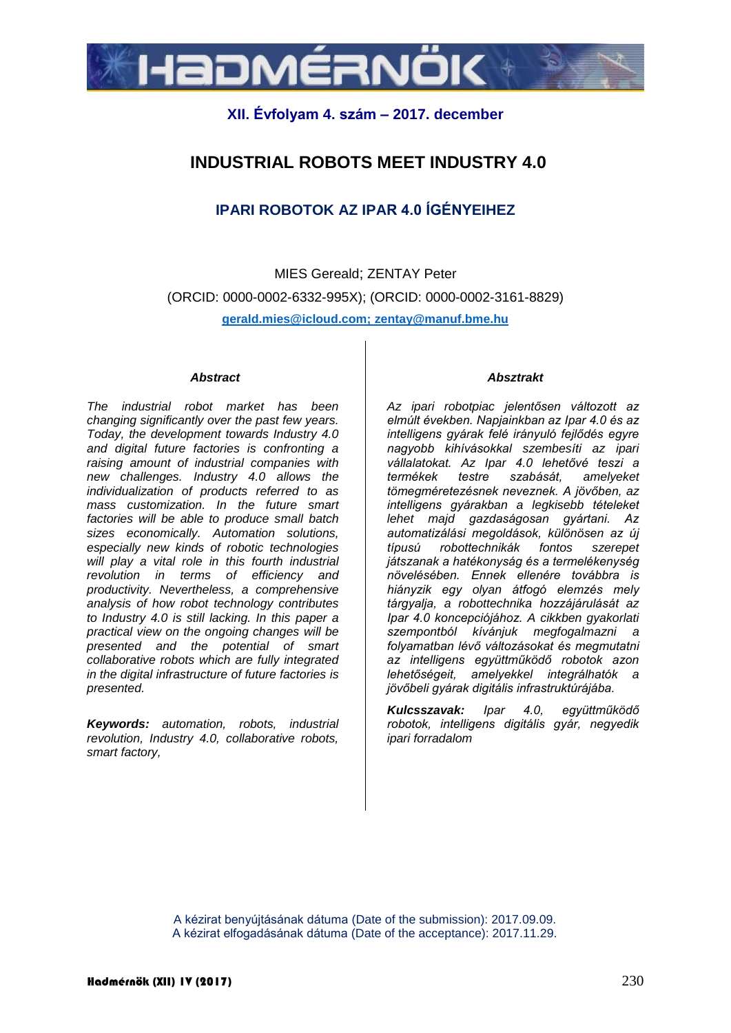

## **XII. Évfolyam 4. szám – 2017. december**

# **INDUSTRIAL ROBOTS MEET INDUSTRY 4.0**

## **IPARI ROBOTOK AZ IPAR 4.0 ÍGÉNYEIHEZ**

MIES Gereald; ZENTAY Peter (ORCID: 0000-0002-6332-995X); (ORCID: 0000-0002-3161-8829) **gerald.mies@icloud.com; zenta[y@manuf.bme.hu](mailto:email@manuf.bme.hu)**

#### *Abstract*

*The industrial robot market has been changing significantly over the past few years. Today, the development towards Industry 4.0 and digital future factories is confronting a raising amount of industrial companies with new challenges. Industry 4.0 allows the individualization of products referred to as mass customization. In the future smart factories will be able to produce small batch sizes economically. Automation solutions, especially new kinds of robotic technologies will play a vital role in this fourth industrial revolution in terms of efficiency and productivity. Nevertheless, a comprehensive analysis of how robot technology contributes to Industry 4.0 is still lacking. In this paper a practical view on the ongoing changes will be presented and the potential of smart collaborative robots which are fully integrated in the digital infrastructure of future factories is presented.*

*Keywords: automation, robots, industrial revolution, Industry 4.0, collaborative robots, smart factory,* 

#### *Absztrakt*

*Az ipari robotpiac jelentősen változott az elmúlt években. Napjainkban az Ipar 4.0 és az intelligens gyárak felé irányuló fejlődés egyre nagyobb kihívásokkal szembesíti az ipari vállalatokat. Az Ipar 4.0 lehetővé teszi a testre szabását, amelyeket tömegméretezésnek neveznek. A jövőben, az intelligens gyárakban a legkisebb tételeket lehet majd gazdaságosan gyártani. Az automatizálási megoldások, különösen az új típusú robottechnikák fontos szerepet játszanak a hatékonyság és a termelékenység növelésében. Ennek ellenére továbbra is hiányzik egy olyan átfogó elemzés mely tárgyalja, a robottechnika hozzájárulását az Ipar 4.0 koncepciójához. A cikkben gyakorlati szempontból kívánjuk megfogalmazni a folyamatban lévő változásokat és megmutatni az intelligens együttműködő robotok azon lehetőségeit, amelyekkel integrálhatók a jövőbeli gyárak digitális infrastruktúrájába.*

*Kulcsszavak: Ipar 4.0, együttműködő robotok, intelligens digitális gyár, negyedik ipari forradalom*

A kézirat benyújtásának dátuma (Date of the submission): 2017.09.09. A kézirat elfogadásának dátuma (Date of the acceptance): 2017.11.29.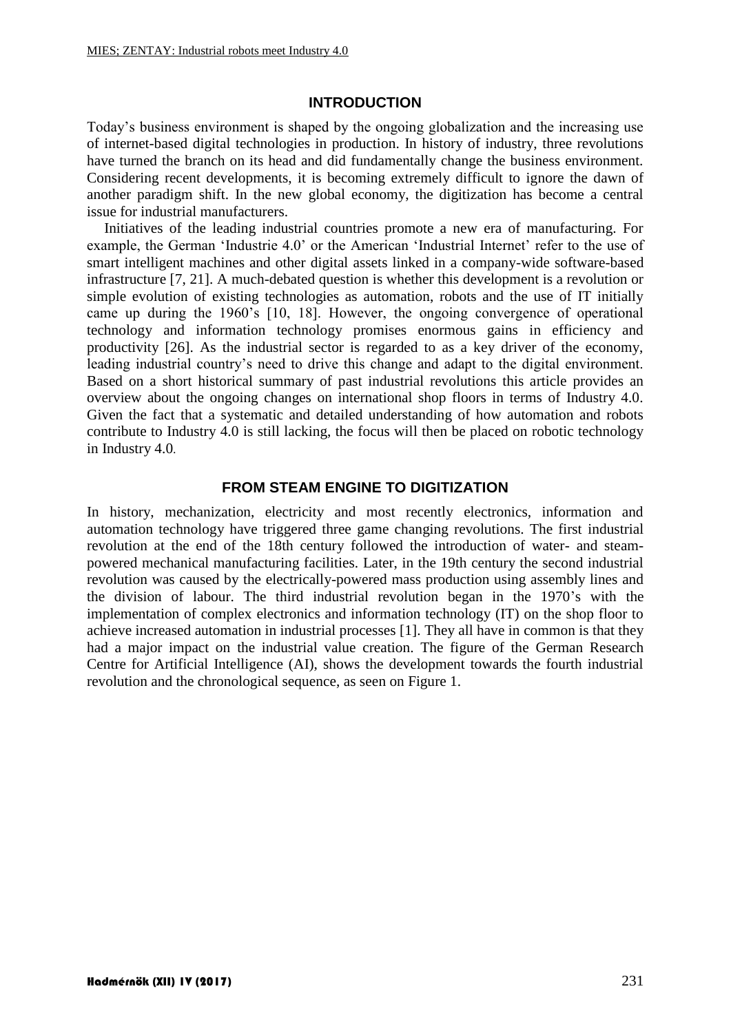### **INTRODUCTION**

Today's business environment is shaped by the ongoing globalization and the increasing use of internet-based digital technologies in production. In history of industry, three revolutions have turned the branch on its head and did fundamentally change the business environment. Considering recent developments, it is becoming extremely difficult to ignore the dawn of another paradigm shift. In the new global economy, the digitization has become a central issue for industrial manufacturers.

Initiatives of the leading industrial countries promote a new era of manufacturing. For example, the German 'Industrie 4.0' or the American 'Industrial Internet' refer to the use of smart intelligent machines and other digital assets linked in a company-wide software-based infrastructure [7, 21]. A much-debated question is whether this development is a revolution or simple evolution of existing technologies as automation, robots and the use of IT initially came up during the 1960's [10, 18]. However, the ongoing convergence of operational technology and information technology promises enormous gains in efficiency and productivity [26]. As the industrial sector is regarded to as a key driver of the economy, leading industrial country's need to drive this change and adapt to the digital environment. Based on a short historical summary of past industrial revolutions this article provides an overview about the ongoing changes on international shop floors in terms of Industry 4.0. Given the fact that a systematic and detailed understanding of how automation and robots contribute to Industry 4.0 is still lacking, the focus will then be placed on robotic technology in Industry 4.0.

#### **FROM STEAM ENGINE TO DIGITIZATION**

In history, mechanization, electricity and most recently electronics, information and automation technology have triggered three game changing revolutions. The first industrial revolution at the end of the 18th century followed the introduction of water- and steampowered mechanical manufacturing facilities. Later, in the 19th century the second industrial revolution was caused by the electrically-powered mass production using assembly lines and the division of labour. The third industrial revolution began in the 1970's with the implementation of complex electronics and information technology (IT) on the shop floor to achieve increased automation in industrial processes [1]. They all have in common is that they had a major impact on the industrial value creation. The figure of the German Research Centre for Artificial Intelligence (AI), shows the development towards the fourth industrial revolution and the chronological sequence, as seen on Figure 1.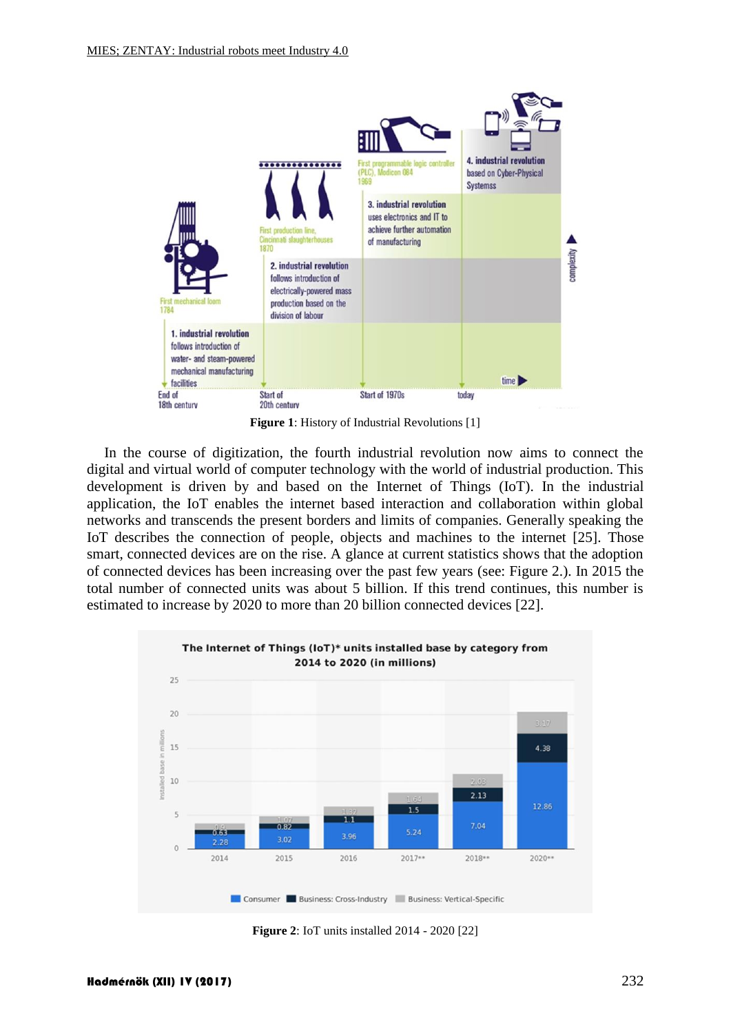

**Figure 1**: History of Industrial Revolutions [1]

In the course of digitization, the fourth industrial revolution now aims to connect the digital and virtual world of computer technology with the world of industrial production. This development is driven by and based on the Internet of Things (IoT). In the industrial application, the IoT enables the internet based interaction and collaboration within global networks and transcends the present borders and limits of companies. Generally speaking the IoT describes the connection of people, objects and machines to the internet [25]. Those smart, connected devices are on the rise. A glance at current statistics shows that the adoption of connected devices has been increasing over the past few years (see: Figure 2.). In 2015 the total number of connected units was about 5 billion. If this trend continues, this number is estimated to increase by 2020 to more than 20 billion connected devices [22].



**Figure 2**: IoT units installed 2014 - 2020 [22]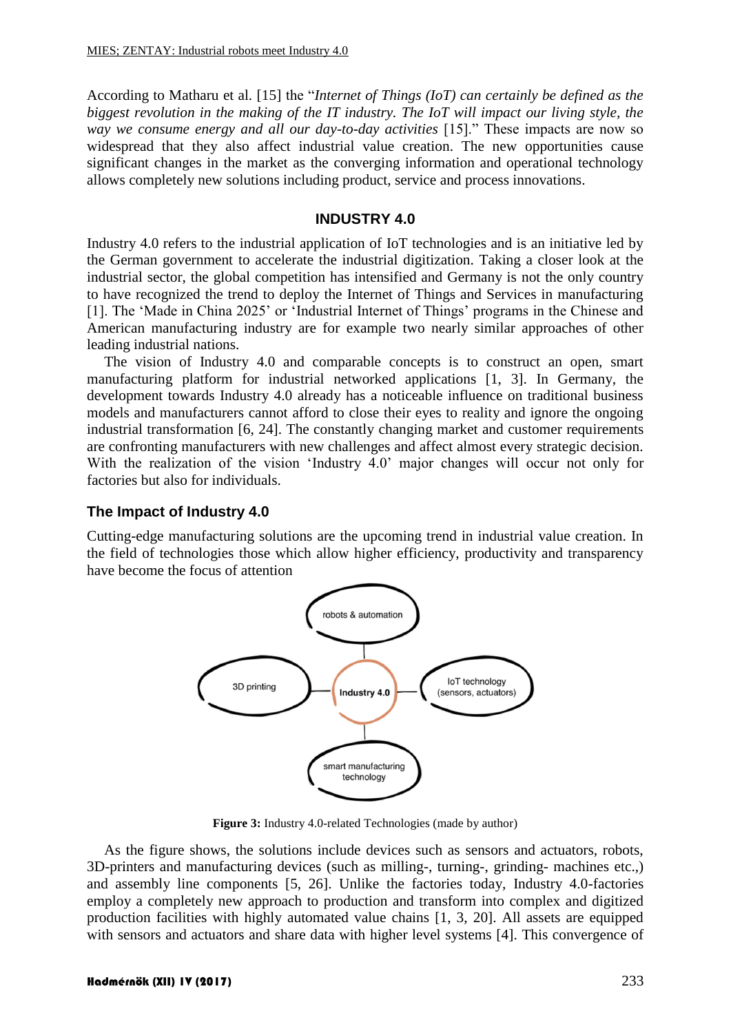According to Matharu et al. [15] the "*Internet of Things (IoT) can certainly be defined as the biggest revolution in the making of the IT industry. The IoT will impact our living style, the way we consume energy and all our day-to-day activities* [15]." These impacts are now so widespread that they also affect industrial value creation. The new opportunities cause significant changes in the market as the converging information and operational technology allows completely new solutions including product, service and process innovations.

#### **INDUSTRY 4.0**

Industry 4.0 refers to the industrial application of IoT technologies and is an initiative led by the German government to accelerate the industrial digitization. Taking a closer look at the industrial sector, the global competition has intensified and Germany is not the only country to have recognized the trend to deploy the Internet of Things and Services in manufacturing [1]. The 'Made in China 2025' or 'Industrial Internet of Things' programs in the Chinese and American manufacturing industry are for example two nearly similar approaches of other leading industrial nations.

The vision of Industry 4.0 and comparable concepts is to construct an open, smart manufacturing platform for industrial networked applications [1, 3]. In Germany, the development towards Industry 4.0 already has a noticeable influence on traditional business models and manufacturers cannot afford to close their eyes to reality and ignore the ongoing industrial transformation [6, 24]. The constantly changing market and customer requirements are confronting manufacturers with new challenges and affect almost every strategic decision. With the realization of the vision 'Industry 4.0' major changes will occur not only for factories but also for individuals.

#### **The Impact of Industry 4.0**

Cutting-edge manufacturing solutions are the upcoming trend in industrial value creation. In the field of technologies those which allow higher efficiency, productivity and transparency have become the focus of attention



Figure 3: Industry 4.0-related Technologies (made by author)

As the figure shows, the solutions include devices such as sensors and actuators, robots, 3D-printers and manufacturing devices (such as milling-, turning-, grinding- machines etc.,) and assembly line components [5, 26]. Unlike the factories today, Industry 4.0-factories employ a completely new approach to production and transform into complex and digitized production facilities with highly automated value chains [1, 3, 20]. All assets are equipped with sensors and actuators and share data with higher level systems [4]. This convergence of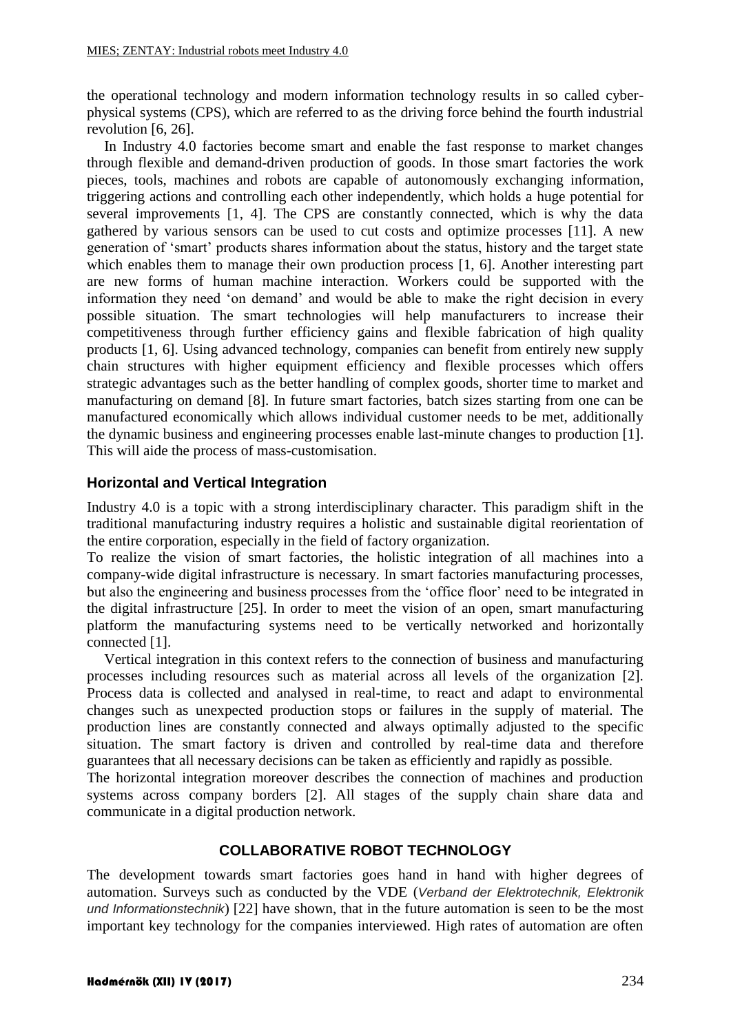the operational technology and modern information technology results in so called cyberphysical systems (CPS), which are referred to as the driving force behind the fourth industrial revolution [6, 26].

In Industry 4.0 factories become smart and enable the fast response to market changes through flexible and demand-driven production of goods. In those smart factories the work pieces, tools, machines and robots are capable of autonomously exchanging information, triggering actions and controlling each other independently, which holds a huge potential for several improvements [1, 4]. The CPS are constantly connected, which is why the data gathered by various sensors can be used to cut costs and optimize processes [11]. A new generation of 'smart' products shares information about the status, history and the target state which enables them to manage their own production process [1, 6]. Another interesting part are new forms of human machine interaction. Workers could be supported with the information they need 'on demand' and would be able to make the right decision in every possible situation. The smart technologies will help manufacturers to increase their competitiveness through further efficiency gains and flexible fabrication of high quality products [1, 6]. Using advanced technology, companies can benefit from entirely new supply chain structures with higher equipment efficiency and flexible processes which offers strategic advantages such as the better handling of complex goods, shorter time to market and manufacturing on demand [8]. In future smart factories, batch sizes starting from one can be manufactured economically which allows individual customer needs to be met, additionally the dynamic business and engineering processes enable last-minute changes to production [1]. This will aide the process of mass-customisation.

## **Horizontal and Vertical Integration**

Industry 4.0 is a topic with a strong interdisciplinary character. This paradigm shift in the traditional manufacturing industry requires a holistic and sustainable digital reorientation of the entire corporation, especially in the field of factory organization.

To realize the vision of smart factories, the holistic integration of all machines into a company-wide digital infrastructure is necessary. In smart factories manufacturing processes, but also the engineering and business processes from the 'office floor' need to be integrated in the digital infrastructure [25]. In order to meet the vision of an open, smart manufacturing platform the manufacturing systems need to be vertically networked and horizontally connected [1].

Vertical integration in this context refers to the connection of business and manufacturing processes including resources such as material across all levels of the organization [2]. Process data is collected and analysed in real-time, to react and adapt to environmental changes such as unexpected production stops or failures in the supply of material. The production lines are constantly connected and always optimally adjusted to the specific situation. The smart factory is driven and controlled by real-time data and therefore guarantees that all necessary decisions can be taken as efficiently and rapidly as possible.

The horizontal integration moreover describes the connection of machines and production systems across company borders [2]. All stages of the supply chain share data and communicate in a digital production network.

### **COLLABORATIVE ROBOT TECHNOLOGY**

The development towards smart factories goes hand in hand with higher degrees of automation. Surveys such as conducted by the VDE (*Verband der Elektrotechnik, Elektronik und Informationstechnik*) [22] have shown, that in the future automation is seen to be the most important key technology for the companies interviewed. High rates of automation are often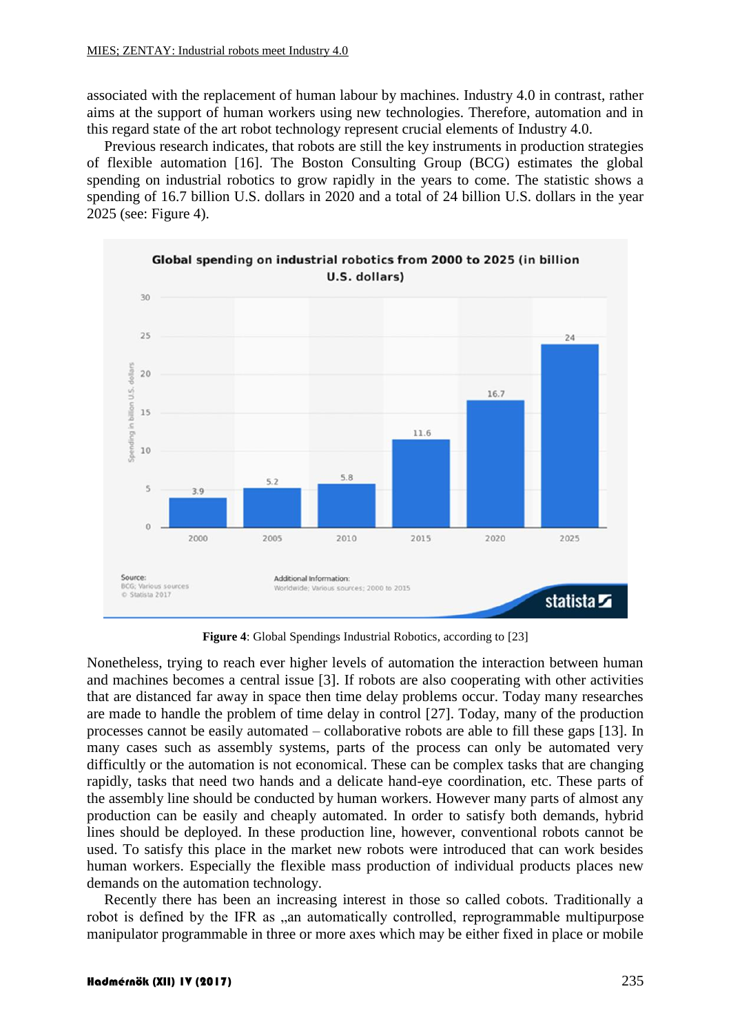associated with the replacement of human labour by machines. Industry 4.0 in contrast, rather aims at the support of human workers using new technologies. Therefore, automation and in this regard state of the art robot technology represent crucial elements of Industry 4.0.

Previous research indicates, that robots are still the key instruments in production strategies of flexible automation [16]. The Boston Consulting Group (BCG) estimates the global spending on industrial robotics to grow rapidly in the years to come. The statistic shows a spending of 16.7 billion U.S. dollars in 2020 and a total of 24 billion U.S. dollars in the year 2025 (see: Figure 4).



**Figure 4**: Global Spendings Industrial Robotics, according to [23]

Nonetheless, trying to reach ever higher levels of automation the interaction between human and machines becomes a central issue [3]. If robots are also cooperating with other activities that are distanced far away in space then time delay problems occur. Today many researches are made to handle the problem of time delay in control [27]. Today, many of the production processes cannot be easily automated – collaborative robots are able to fill these gaps [13]. In many cases such as assembly systems, parts of the process can only be automated very difficultly or the automation is not economical. These can be complex tasks that are changing rapidly, tasks that need two hands and a delicate hand-eye coordination, etc. These parts of the assembly line should be conducted by human workers. However many parts of almost any production can be easily and cheaply automated. In order to satisfy both demands, hybrid lines should be deployed. In these production line, however, conventional robots cannot be used. To satisfy this place in the market new robots were introduced that can work besides human workers. Especially the flexible mass production of individual products places new demands on the automation technology.

Recently there has been an increasing interest in those so called cobots. Traditionally a robot is defined by the IFR as "an automatically controlled, reprogrammable multipurpose manipulator programmable in three or more axes which may be either fixed in place or mobile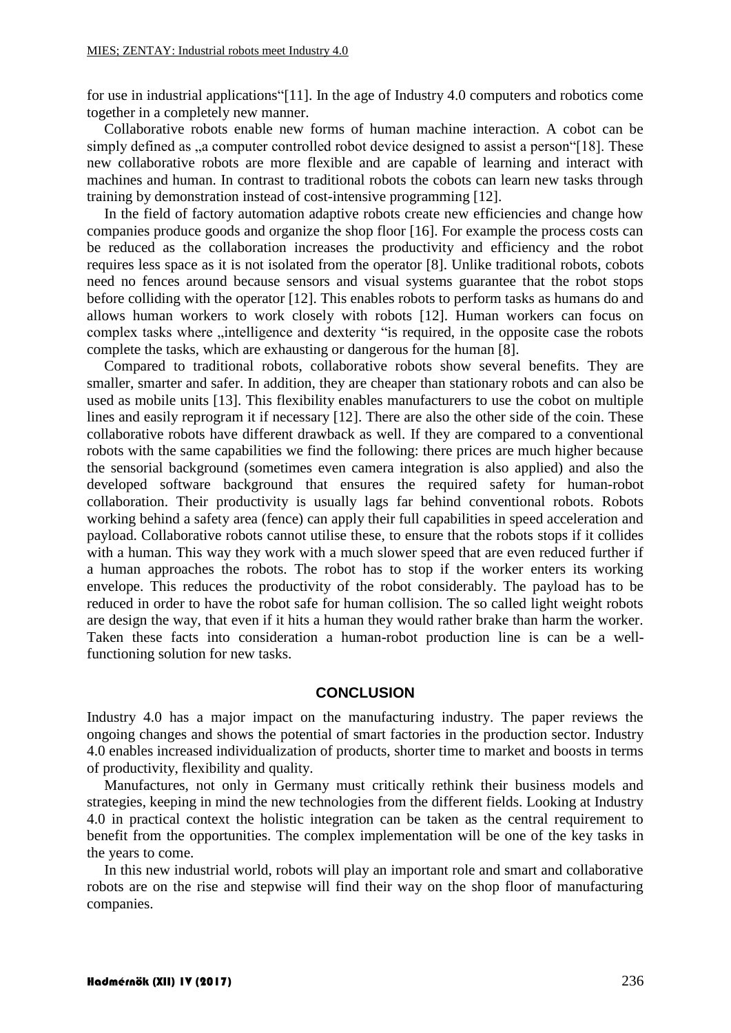for use in industrial applications"[11]. In the age of Industry 4.0 computers and robotics come together in a completely new manner.

Collaborative robots enable new forms of human machine interaction. A cobot can be simply defined as , a computer controlled robot device designed to assist a person [18]. These new collaborative robots are more flexible and are capable of learning and interact with machines and human. In contrast to traditional robots the cobots can learn new tasks through training by demonstration instead of cost-intensive programming [12].

In the field of factory automation adaptive robots create new efficiencies and change how companies produce goods and organize the shop floor [16]. For example the process costs can be reduced as the collaboration increases the productivity and efficiency and the robot requires less space as it is not isolated from the operator [8]. Unlike traditional robots, cobots need no fences around because sensors and visual systems guarantee that the robot stops before colliding with the operator [12]. This enables robots to perform tasks as humans do and allows human workers to work closely with robots [12]. Human workers can focus on complex tasks where "intelligence and dexterity "is required, in the opposite case the robots complete the tasks, which are exhausting or dangerous for the human [8].

Compared to traditional robots, collaborative robots show several benefits. They are smaller, smarter and safer. In addition, they are cheaper than stationary robots and can also be used as mobile units [13]. This flexibility enables manufacturers to use the cobot on multiple lines and easily reprogram it if necessary [12]. There are also the other side of the coin. These collaborative robots have different drawback as well. If they are compared to a conventional robots with the same capabilities we find the following: there prices are much higher because the sensorial background (sometimes even camera integration is also applied) and also the developed software background that ensures the required safety for human-robot collaboration. Their productivity is usually lags far behind conventional robots. Robots working behind a safety area (fence) can apply their full capabilities in speed acceleration and payload. Collaborative robots cannot utilise these, to ensure that the robots stops if it collides with a human. This way they work with a much slower speed that are even reduced further if a human approaches the robots. The robot has to stop if the worker enters its working envelope. This reduces the productivity of the robot considerably. The payload has to be reduced in order to have the robot safe for human collision. The so called light weight robots are design the way, that even if it hits a human they would rather brake than harm the worker. Taken these facts into consideration a human-robot production line is can be a wellfunctioning solution for new tasks.

#### **CONCLUSION**

Industry 4.0 has a major impact on the manufacturing industry. The paper reviews the ongoing changes and shows the potential of smart factories in the production sector. Industry 4.0 enables increased individualization of products, shorter time to market and boosts in terms of productivity, flexibility and quality.

Manufactures, not only in Germany must critically rethink their business models and strategies, keeping in mind the new technologies from the different fields. Looking at Industry 4.0 in practical context the holistic integration can be taken as the central requirement to benefit from the opportunities. The complex implementation will be one of the key tasks in the years to come.

In this new industrial world, robots will play an important role and smart and collaborative robots are on the rise and stepwise will find their way on the shop floor of manufacturing companies.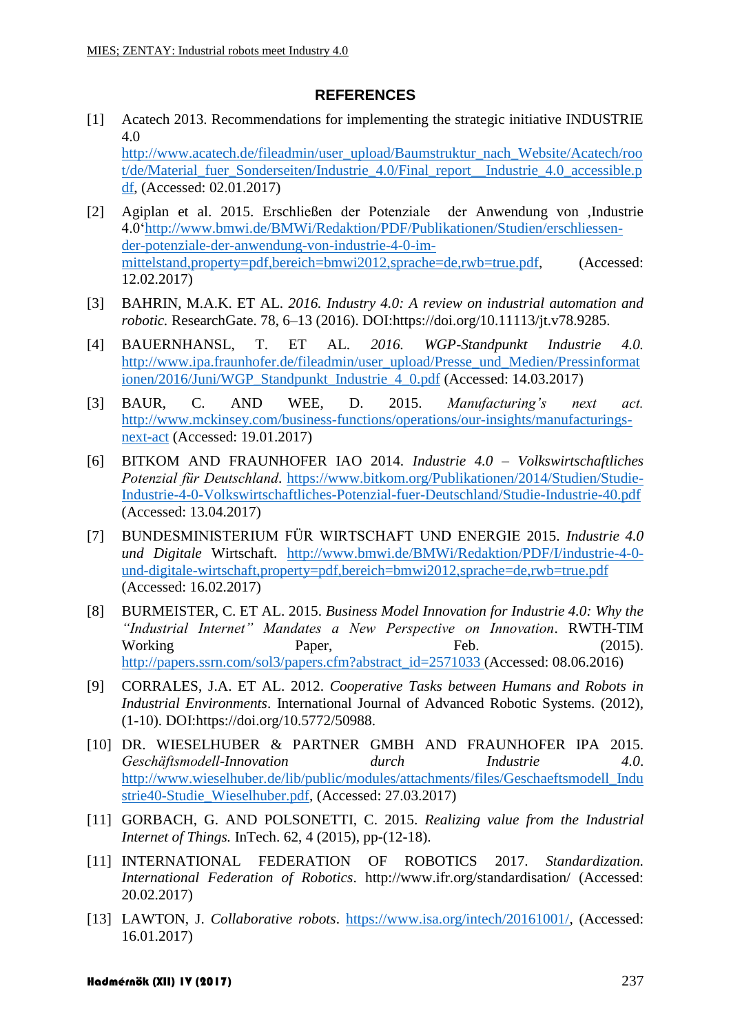### **REFERENCES**

[1] Acatech 2013. Recommendations for implementing the strategic initiative INDUSTRIE 4.0 [http://www.acatech.de/fileadmin/user\\_upload/Baumstruktur\\_nach\\_Website/Acatech/roo](http://www.acatech.de/fileadmin/user_upload/Baumstruktur_nach_Website/Acatech/root/de/Material_fuer_Sonderseiten/Industrie_4.0/Final_report__Industrie_4.0_accessible.pdf)

[t/de/Material\\_fuer\\_Sonderseiten/Industrie\\_4.0/Final\\_report\\_\\_Industrie\\_4.0\\_accessible.p](http://www.acatech.de/fileadmin/user_upload/Baumstruktur_nach_Website/Acatech/root/de/Material_fuer_Sonderseiten/Industrie_4.0/Final_report__Industrie_4.0_accessible.pdf) [df,](http://www.acatech.de/fileadmin/user_upload/Baumstruktur_nach_Website/Acatech/root/de/Material_fuer_Sonderseiten/Industrie_4.0/Final_report__Industrie_4.0_accessible.pdf) (Accessed: 02.01.2017)

- [2] Agiplan et al. 2015. Erschließen der Potenziale der Anwendung von ,Industrie 4.0['http://www.bmwi.de/BMWi/Redaktion/PDF/Publikationen/Studien/erschliessen](http://www.bmwi.de/BMWi/Redaktion/PDF/Publikationen/Studien/erschliessen-der-potenziale-der-anwendung-von-industrie-4-0-im-mittelstand,property=pdf,bereich=bmwi2012,sprache=de,rwb=true.pdf)[der-potenziale-der-anwendung-von-industrie-4-0-im](http://www.bmwi.de/BMWi/Redaktion/PDF/Publikationen/Studien/erschliessen-der-potenziale-der-anwendung-von-industrie-4-0-im-mittelstand,property=pdf,bereich=bmwi2012,sprache=de,rwb=true.pdf)[mittelstand,property=pdf,bereich=bmwi2012,sprache=de,rwb=true.pdf,](http://www.bmwi.de/BMWi/Redaktion/PDF/Publikationen/Studien/erschliessen-der-potenziale-der-anwendung-von-industrie-4-0-im-mittelstand,property=pdf,bereich=bmwi2012,sprache=de,rwb=true.pdf) (Accessed: 12.02.2017)
- [3] BAHRIN, M.A.K. ET AL. *2016. Industry 4.0: A review on industrial automation and robotic.* ResearchGate. 78, 6–13 (2016). DOI:https://doi.org/10.11113/jt.v78.9285.
- [4] BAUERNHANSL, T. ET AL. *2016. WGP-Standpunkt Industrie 4.0.* http://www.ipa.fraunhofer.de/fileadmin/user\_upload/Presse\_und\_Medien/Pressinformat ionen/2016/Juni/WGP\_Standpunkt\_Industrie\_4\_0.pdf (Accessed: 14.03.2017)
- [3] BAUR, C. AND WEE, D. 2015. *Manufacturing's next act.* http://www.mckinsey.com/business-functions/operations/our-insights/manufacturingsnext-act (Accessed: 19.01.2017)
- [6] BITKOM AND FRAUNHOFER IAO 2014. *Industrie 4.0 – Volkswirtschaftliches Potenzial für Deutschland*. https://www.bitkom.org/Publikationen/2014/Studien/Studie-Industrie-4-0-Volkswirtschaftliches-Potenzial-fuer-Deutschland/Studie-Industrie-40.pdf (Accessed: 13.04.2017)
- [7] BUNDESMINISTERIUM FÜR WIRTSCHAFT UND ENERGIE 2015. *Industrie 4.0 und Digitale* Wirtschaft. http://www.bmwi.de/BMWi/Redaktion/PDF/I/industrie-4-0 und-digitale-wirtschaft,property=pdf,bereich=bmwi2012,sprache=de,rwb=true.pdf (Accessed: 16.02.2017)
- [8] BURMEISTER, C. ET AL. 2015. *Business Model Innovation for Industrie 4.0: Why the "Industrial Internet" Mandates a New Perspective on Innovation*. RWTH-TIM Working Paper, Feb. (2015). http://papers.ssrn.com/sol3/papers.cfm?abstract\_id=2571033 (Accessed: 08.06.2016)
- [9] CORRALES, J.A. ET AL. 2012. *Cooperative Tasks between Humans and Robots in Industrial Environments*. International Journal of Advanced Robotic Systems. (2012), (1-10). DOI:https://doi.org/10.5772/50988.
- [10] DR. WIESELHUBER & PARTNER GMBH AND FRAUNHOFER IPA 2015. *Geschäftsmodell-Innovation durch Industrie 4.0*. [http://www.wieselhuber.de/lib/public/modules/attachments/files/Geschaeftsmodell\\_Indu](http://www.wieselhuber.de/lib/public/modules/attachments/files/Geschaeftsmodell_Industrie40-Studie_Wieselhuber.pdf) [strie40-Studie\\_Wieselhuber.pdf,](http://www.wieselhuber.de/lib/public/modules/attachments/files/Geschaeftsmodell_Industrie40-Studie_Wieselhuber.pdf) (Accessed: 27.03.2017)
- [11] GORBACH, G. AND POLSONETTI, C. 2015. *Realizing value from the Industrial Internet of Things.* InTech. 62, 4 (2015), pp-(12-18).
- [11] INTERNATIONAL FEDERATION OF ROBOTICS 2017. *Standardization. International Federation of Robotics*. http://www.ifr.org/standardisation/ (Accessed: 20.02.2017)
- [13] LAWTON, J. *Collaborative robots*. [https://www.isa.org/intech/20161001/,](https://www.isa.org/intech/20161001/) (Accessed: 16.01.2017)